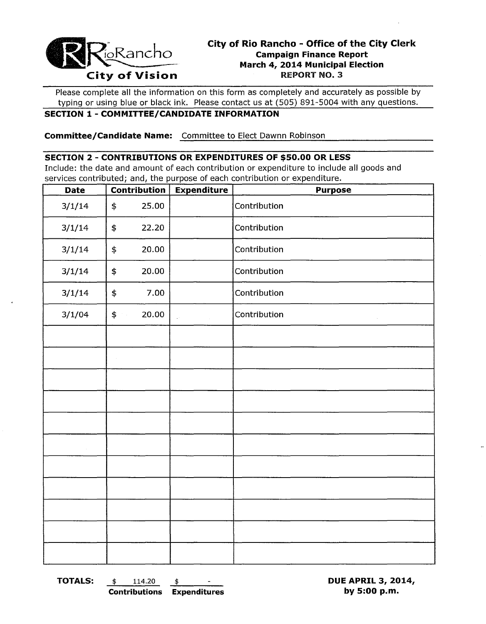

# **City of Rio Rancho - Office of the City Clerk Campaign Finance Report March 4, 2014 Municipal Election**

Please complete all the information on this form as completely and accurately as possible by typing or using blue or black ink. Please contact us at (505) 891-5004 with any questions.

## **SECTION 1 - COMMITTEE/CANDIDATE INFORMATION**

**Committee/Candidate Name:** Committee to Elect Dawnn Robinson

### **SECTION 2 - CONTRIBUTIONS OR EXPENDITURES OF \$50.00 OR LESS**

Include: the date and amount of each contribution or expenditure to include all goods and services contributed; and, the purpose of each contribution or expenditure.

| <b>Date</b> | <b>Contribution</b>  | <b>Expenditure</b> | <b>Purpose</b> |
|-------------|----------------------|--------------------|----------------|
| 3/1/14      | 25.00<br>\$          |                    | Contribution   |
| 3/1/14      | \$<br>22.20          |                    | Contribution   |
| 3/1/14      | \$<br>20.00          |                    | Contribution   |
| 3/1/14      | \$<br>20.00          |                    | Contribution   |
| 3/1/14      | 7.00<br>\$           |                    | Contribution   |
| 3/1/04      | $$^{\circ}$<br>20.00 | i.                 | Contribution   |
|             |                      |                    |                |
|             |                      |                    |                |
|             |                      |                    |                |
|             |                      |                    |                |
|             |                      |                    |                |
|             |                      |                    |                |
|             |                      |                    |                |
|             |                      |                    |                |
|             |                      |                    |                |
|             |                      |                    |                |
|             |                      |                    |                |

**TOTALS:** \$ 114.20 \$ **DUE APRIL 3, 2014, Contributions Expenditures by 5:00 p.m.**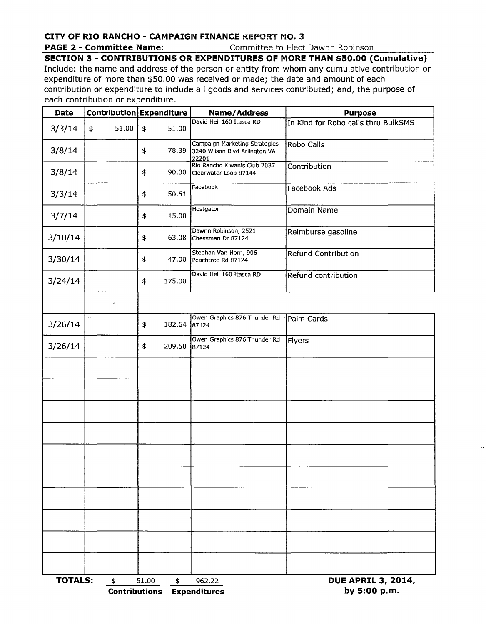## **CITY OF RIO RANCHO - CAMPAIGN FINANCE** KEPORT NO.3

### **PAGE 2 - Committee Name:** Committee to Elect Dawnn Robinson

## **SECTION 3 - CONTRIBUTIONS OR EXPENDITURES OF MORE THAN \$50.00 (Cumulative)**

Include: the name and address of the person or entity from whom any cumulative contribution or expenditure of more than \$50.00 was received or made; the date and amount of each contribution or expenditure to include all goods and services contributed; and, the purpose of each contribution or expenditure.

| Contribution Expenditure<br><b>Date</b> |                                    |              | <b>Name/Address</b>                                                           | <b>Purpose</b>                            |  |  |
|-----------------------------------------|------------------------------------|--------------|-------------------------------------------------------------------------------|-------------------------------------------|--|--|
| 3/3/14                                  | 51.00<br>\$                        | \$<br>51.00  | David Heil 160 Itasca RD                                                      | In Kind for Robo calls thru BulkSMS       |  |  |
| 3/8/14                                  |                                    | \$           | Campaign Marketing Strategies<br>78.39 3240 Wilson Blvd Arlington VA<br>22201 | Robo Calls                                |  |  |
| 3/8/14                                  |                                    | \$<br>90.00  | Rio Rancho Kiwanis Club 2037<br>Clearwater Loop 87144                         | Contribution                              |  |  |
| 3/3/14                                  |                                    | 50.61<br>\$  | Facebook                                                                      | <b>Facebook Ads</b>                       |  |  |
| 3/7/14                                  |                                    | \$<br>15.00  | Hostgator                                                                     | Domain Name                               |  |  |
| 3/10/14                                 |                                    | \$<br>63.08  | Dawnn Robinson, 2521<br>Chessman Dr 87124                                     | Reimburse gasoline                        |  |  |
| 3/30/14                                 |                                    | \$<br>47.00  | Stephan Van Horn, 906<br>Peachtree Rd 87124                                   | <b>Refund Contribution</b>                |  |  |
| 3/24/14                                 |                                    | \$<br>175.00 | David Heil 160 Itasca RD                                                      | Refund contribution                       |  |  |
|                                         |                                    |              |                                                                               |                                           |  |  |
| 3/26/14                                 | $\mathcal{L}^{\mathcal{L}}$        | \$<br>182.64 | Owen Graphics 876 Thunder Rd<br>87124                                         | Palm Cards                                |  |  |
| 3/26/14                                 |                                    | \$<br>209.50 | Owen Graphics 876 Thunder Rd<br>87124                                         | Flyers                                    |  |  |
|                                         |                                    |              |                                                                               |                                           |  |  |
|                                         |                                    |              |                                                                               |                                           |  |  |
|                                         |                                    |              |                                                                               |                                           |  |  |
|                                         |                                    |              |                                                                               |                                           |  |  |
|                                         |                                    |              |                                                                               |                                           |  |  |
|                                         |                                    |              |                                                                               |                                           |  |  |
|                                         |                                    |              |                                                                               |                                           |  |  |
|                                         |                                    |              |                                                                               |                                           |  |  |
|                                         |                                    |              |                                                                               |                                           |  |  |
|                                         |                                    |              |                                                                               |                                           |  |  |
| <b>TOTALS:</b>                          | $\ddagger$<br><b>Contributions</b> | 51.00<br>\$  | 962.22<br><b>Expenditures</b>                                                 | <b>DUE APRIL 3, 2014,</b><br>by 5:00 p.m. |  |  |